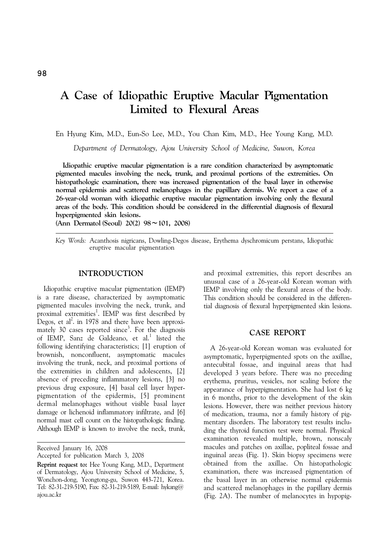# **A Case of Idiopathic Eruptive Macular Pigmentation Limited to Flexural Areas**

En Hyung Kim, M.D., Eun-So Lee, M.D., You Chan Kim, M.D., Hee Young Kang, M.D.

*Department of Dermatology, Ajou University School of Medicine, Suwon, Korea*

 **Idiopathic eruptive macular pigmentation is a rare condition characterized by asymptomatic pigmented macules involving the neck, trunk, and proximal portions of the extremities. On histopathologic examination, there was increased pigmentation of the basal layer in otherwise normal epidermis and scattered melanophages in the papillary dermis. We report a case of a 26**-**year**-**old woman with idiopathic eruptive macular pigmentation involving only the flexural areas of the body. This condition should be considered in the differential diagnosis of flexural hyperpigmented skin lesions.**

**(Ann Dermatol (Seoul) 20(2) 98**∼**101, 2008)**

*Key Words:* Acanthosis nigricans, Dowling-Degos disease, Erythema dyschromicum perstans, Idiopathic eruptive macular pigmentation

#### **INTRODUCTION**

Idiopathic eruptive macular pigmentation (IEMP) is a rare disease, characterized by asymptomatic pigmented macules involving the neck, trunk, and proximal extremities<sup>1</sup>. IEMP was first described by Degos, et al<sup>2</sup>. in 1978 and there have been approximately 30 cases reported since<sup>3</sup>. For the diagnosis of IEMP, Sanz de Galdeano, et al.<sup>1</sup> listed the following identifying characteristics; [1] eruption of brownish, nonconfluent, asymptomatic macules involving the trunk, neck, and proximal portions of the extremities in children and adolescents, [2] absence of preceding inflammatory lesions, [3] no previous drug exposure, [4] basal cell layer hyperpigmentation of the epidermis, [5] prominent dermal melanophages without visible basal layer damage or lichenoid inflammatory infiltrate, and [6] normal mast cell count on the histopathologic finding. Although IEMP is known to involve the neck, trunk,

Accepted for publication March 3, 2008

and proximal extremities, this report describes an unusual case of a 26-year-old Korean woman with IEMP involving only the flexural areas of the body. This condition should be considered in the differential diagnosis of flexural hyperpigmented skin lesions.

## **CASE REPORT**

A 26-year-old Korean woman was evaluated for asymptomatic, hyperpigmented spots on the axillae, antecubital fossae, and inguinal areas that had developed 3 years before. There was no preceding erythema, pruritus, vesicles, nor scaling before the appearance of hyperpigmentation. She had lost 6 kg in 6 months, prior to the development of the skin lesions. However, there was neither previous history of medication, trauma, nor a family history of pigmentary disorders. The laboratory test results including the thyroid function test were normal. Physical examination revealed multiple, brown, nonscaly macules and patches on axillae, popliteal fossae and inguinal areas (Fig. 1). Skin biopsy specimens were obtained from the axillae. On histopathologic examination, there was increased pigmentation of the basal layer in an otherwise normal epidermis and scattered melanophages in the papillary dermis (Fig. 2A). The number of melanocytes in hypopig-

Received January 16, 2008

**Reprint request to:** Hee Young Kang, M.D., Department of Dermatology, Ajou University School of Medicine, 5, Wonchon-dong, Yeongtong-gu, Suwon 443-721, Korea. Tel: 82-31-219-5190, Fax: 82-31-219-5189, E-mail: hykang@ ajou.ac.kr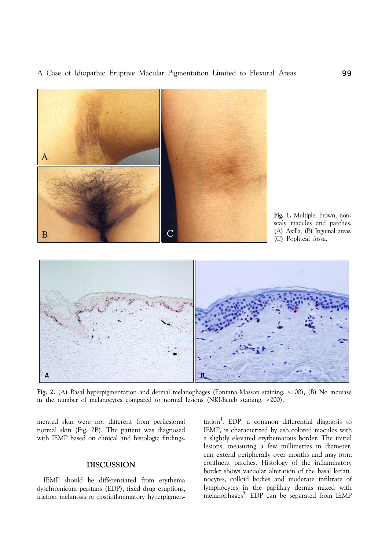

**Fig. 1.** Multiple, brown, nonscaly macules and patches. (A) Axilla, (B) Inguinal areas, (C) Popliteal fossa.



**Fig. 2.** (A) Basal hyperpigmentation and dermal melanophages (Fontana-Masson staining, ×100), (B) No increase in the number of melanocytes compared to normal lesions (NKI/beteb staining,  $\times$ 200).

mented skin were not different from perilesional normal skin (Fig. 2B). The patient was diagnosed with IEMP based on clinical and histologic findings.

# **DISCUSSION**

IEMP should be differentiated from erythema dyschromicum perstans (EDP), fixed drug eruptions, friction melanosis or postinflammatory hyperpigmen-

tation<sup>4</sup>. EDP, a common differential diagnosis to IEMP, is characterized by ash-colored macules with a slightly elevated erythematous border. The initial lesions, measuring a few millimetres in diameter, can extend peripherally over months and may form confluent patches. Histology of the inflammatory border shows vacuolar alteration of the basal keratinocytes, colloid bodies and moderate infiltrate of lymphocytes in the papillary dermis mixed with melanophages<sup>5</sup>. EDP can be separated from IEMP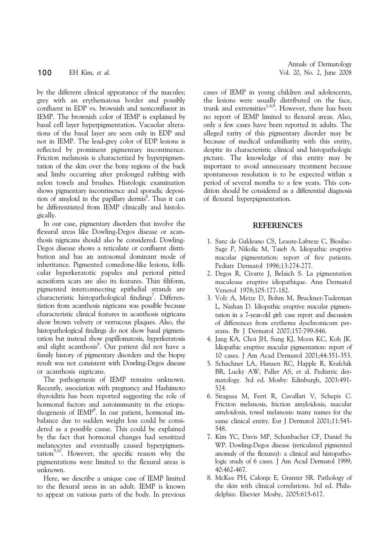by the different clinical appearance of the macules; grey with an erythematous border and possibly confluent in EDP vs. brownish and nonconfluent in IEMP. The brownish color of IEMP is explained by basal cell layer hyperpigmentation. Vacuolar alterations of the basal layer are seen only in EDP and not in IEMP. The lead-grey color of EDP lesions is reflected by prominent pigmentary incontinence. Friction melanosis is characterized by hyperpigmentation of the skin over the bony regions of the back and limbs occurring after prolonged rubbing with nylon towels and brushes. Histologic examination shows pigmentary incontinence and sporadic deposition of amyloid in the papillary dermis<sup>6</sup>. Thus it can be differentiated from IEMP clinically and histologically.

In our case, pigmentary disorders that involve the flexural areas like Dowling-Degos disease or acanthosis nigricans should also be considered. Dowling-Degos disease shows a reticulate or confluent distribution and has an autosomal dominant mode of inheritance. Pigmented comedone-like lesions, follicular hyperkeratotic papules and perioral pitted acneiform scars are also its features. Thin filiform, pigmented interconnecting epithelial strands are characteristic histopathological findings<sup>7</sup>. Differentiation from acanthosis nigricans was possible because characteristic clinical features in acanthosis nigricans show brown velvety or verrucous plaques. Also, the histopathological findings do not show basal pigmentation but instead show papillomatosis, hyperkeratosis and slight acanthosis<sup>8</sup>. Our patient did not have a family history of pigmentary disorders and the biopsy result was not consistent with Dowling-Degos disease or acanthosis nigricans.

The pathogenesis of IEMP remains unknown. Recently, association with pregnancy and Hashimoto thyroiditis has been reported suggesting the role of hormonal factors and autoimmunity in the etiopathogenesis of IEMP<sup>9</sup>. In our patient, hormonal imbalance due to sudden weight loss could be considered as a possible cause. This could be explained by the fact that hormonal changes had sensitized melanocytes and eventually caused hyperpigmentation<sup>9,10</sup>. However, the specific reason why the pigmentations were limited to the flexural areas is unknown.

Here, we describe a unique case of IEMP limited to the flexural areas in an adult. IEMP is known to appear on various parts of the body. In previous

Annals of Dermatology 100 EH Kim, *et al.* Vol. 20, No. 2, June 2008

> cases of IEMP in young children and adolescents, the lesions were usually distributed on the face, trunk and extremities $1-4,9$ . However, there has been no report of IEMP limited to flexural areas. Also, only a few cases have been reported in adults. The alleged rarity of this pigmentary disorder may be because of medical unfamiliarity with this entity, despite its characteristic clinical and histopathologic picture. The knowledge of this entity may be important to avoid unnecessary treatment because spontaneous resolution is to be expected within a period of several months to a few years. This condition should be considered as a differential diagnosis of flexural hyperpigmentation.

### **REFERENCES**

- 1. Sanz de Galdeano CS, Leaute-Labreze C, Bioulac-Sage P, Nikolic M, Taieb A. Idiopathic eruptive macular pigmentation: report of five patients. Pediatr Dermatol 1996;13:274-277.
- 2. Degos R, Civatte J, Belaich S. La pigmentation maculeuse eruptive idiopathique. Ann Dermatol Venerol 1978;105:177-182.
- 3. Volz A, Metze D, Bohm M, Bruckner-Tuderman L, Nashan D. Idiopathic eruptive macular pigmentation in a 7-year-old girl: case report and discussion of differences from erythema dyschromicum perstans. Br J Dermatol 2007;157:799-846.
- 4. Jang KA, Choi JH, Sung KJ, Moon KC, Koh JK. Idiopathic eruptive macular pigmentation: report of 10 cases. J Am Acad Dermatol 2001;44:351-353.
- 5. Schachner LA, Hansen RC, Happle R, Krafchik BR, Lucky AW, Paller AS, et al. Pediatric dermatology. 3rd ed. Mosby: Edinburgh, 2003:491- 524.
- 6. Siragusa M, Ferri R, Cavallari V, Schepis C. Friction melanosis, friction amyloidosis, macular amyloidosis, towel melanosis: many names for the same clinical entity. Eur J Dermatol 2001;11:545- 548.
- 7. Kim YC, Davis MP, Schanbacher CF, Daniel Su WP. Dowling-Degos disease (reticulated pigmented anomaly of the flexures): a clinical and histopathologic study of 6 cases. J Am Acad Dermatol 1999; 40:462-467.
- 8. McKee PH, Calonje E, Granter SR. Pathology of the skin with clinical correlations. 3rd ed. Philadelphia: Elsevier Mosby, 2005:615-617.